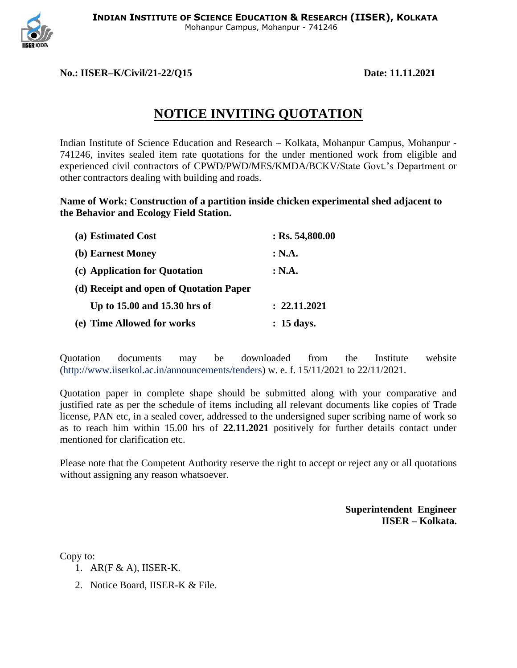

## **No.: IISER–K/Civil/21-22/Q15 Date: 11.11.2021**

## **NOTICE INVITING QUOTATION**

Indian Institute of Science Education and Research – Kolkata, Mohanpur Campus, Mohanpur - 741246, invites sealed item rate quotations for the under mentioned work from eligible and experienced civil contractors of CPWD/PWD/MES/KMDA/BCKV/State Govt.'s Department or other contractors dealing with building and roads.

**Name of Work: Construction of a partition inside chicken experimental shed adjacent to the Behavior and Ecology Field Station.**

| (a) Estimated Cost                      | $:$ Rs. 54,800.00 |
|-----------------------------------------|-------------------|
| (b) Earnest Money                       | : N.A.            |
| (c) Application for Quotation           | : N.A.            |
| (d) Receipt and open of Quotation Paper |                   |
| Up to 15.00 and 15.30 hrs of            | : 22.11.2021      |
| (e) Time Allowed for works              | : 15 days.        |

Quotation documents may be downloaded from the Institute website (http://www.iiserkol.ac.in/announcements/tenders) w. e. f. 15/11/2021 to 22/11/2021.

Quotation paper in complete shape should be submitted along with your comparative and justified rate as per the schedule of items including all relevant documents like copies of Trade license, PAN etc, in a sealed cover, addressed to the undersigned super scribing name of work so as to reach him within 15.00 hrs of **22.11.2021** positively for further details contact under mentioned for clarification etc.

Please note that the Competent Authority reserve the right to accept or reject any or all quotations without assigning any reason whatsoever.

> **Superintendent Engineer IISER – Kolkata.**

Copy to:

- 1. AR(F & A), IISER-K.
- 2. Notice Board, IISER-K & File.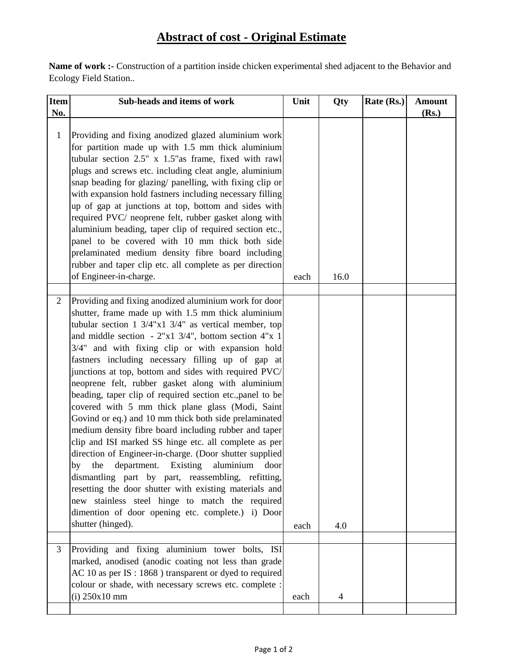## **Abstract of cost - Original Estimate**

**Name of work :-** Construction of a partition inside chicken experimental shed adjacent to the Behavior and Ecology Field Station..

| Item         | Sub-heads and items of work                                                                                                                                                                                                                                                                                                                                                                                                                                                                                                                                                                                                                                                                                                                                                                                                                                                                                                                                                                                                                                                                                                                         | Unit | Qty  | Rate (Rs.) | <b>Amount</b> |
|--------------|-----------------------------------------------------------------------------------------------------------------------------------------------------------------------------------------------------------------------------------------------------------------------------------------------------------------------------------------------------------------------------------------------------------------------------------------------------------------------------------------------------------------------------------------------------------------------------------------------------------------------------------------------------------------------------------------------------------------------------------------------------------------------------------------------------------------------------------------------------------------------------------------------------------------------------------------------------------------------------------------------------------------------------------------------------------------------------------------------------------------------------------------------------|------|------|------------|---------------|
| No.          |                                                                                                                                                                                                                                                                                                                                                                                                                                                                                                                                                                                                                                                                                                                                                                                                                                                                                                                                                                                                                                                                                                                                                     |      |      |            | (Rs.)         |
| $\mathbf{1}$ | Providing and fixing anodized glazed aluminium work<br>for partition made up with 1.5 mm thick aluminium<br>tubular section 2.5" x 1.5" as frame, fixed with rawl<br>plugs and screws etc. including cleat angle, aluminium<br>snap beading for glazing/ panelling, with fixing clip or<br>with expansion hold fastners including necessary filling<br>up of gap at junctions at top, bottom and sides with<br>required PVC/ neoprene felt, rubber gasket along with<br>aluminium beading, taper clip of required section etc.,<br>panel to be covered with 10 mm thick both side<br>prelaminated medium density fibre board including<br>rubber and taper clip etc. all complete as per direction<br>of Engineer-in-charge.                                                                                                                                                                                                                                                                                                                                                                                                                        | each | 16.0 |            |               |
|              |                                                                                                                                                                                                                                                                                                                                                                                                                                                                                                                                                                                                                                                                                                                                                                                                                                                                                                                                                                                                                                                                                                                                                     |      |      |            |               |
| 2            | Providing and fixing anodized aluminium work for door<br>shutter, frame made up with 1.5 mm thick aluminium<br>tubular section $1 \frac{3}{4}$ "x1 $\frac{3}{4}$ " as vertical member, top<br>and middle section $-2"x1 \frac{3}{4}$ , bottom section 4"x 1<br>3/4" and with fixing clip or with expansion hold<br>fastners including necessary filling up of gap at<br>junctions at top, bottom and sides with required PVC/<br>neoprene felt, rubber gasket along with aluminium<br>beading, taper clip of required section etc., panel to be<br>covered with 5 mm thick plane glass (Modi, Saint<br>Govind or eq.) and 10 mm thick both side prelaminated<br>medium density fibre board including rubber and taper<br>clip and ISI marked SS hinge etc. all complete as per<br>direction of Engineer-in-charge. (Door shutter supplied<br>department.<br>Existing<br>aluminium<br>the<br>door<br>by<br>dismantling part by part, reassembling, refitting,<br>resetting the door shutter with existing materials and<br>new stainless steel hinge to match the required<br>dimention of door opening etc. complete.) i) Door<br>shutter (hinged). | each | 4.0  |            |               |
| 3            | Providing and fixing aluminium tower bolts, ISI<br>marked, anodised (anodic coating not less than grade<br>AC 10 as per IS : 1868 ) transparent or dyed to required<br>colour or shade, with necessary screws etc. complete :<br>$(i)$ 250 $x10$ mm                                                                                                                                                                                                                                                                                                                                                                                                                                                                                                                                                                                                                                                                                                                                                                                                                                                                                                 | each | 4    |            |               |
|              |                                                                                                                                                                                                                                                                                                                                                                                                                                                                                                                                                                                                                                                                                                                                                                                                                                                                                                                                                                                                                                                                                                                                                     |      |      |            |               |